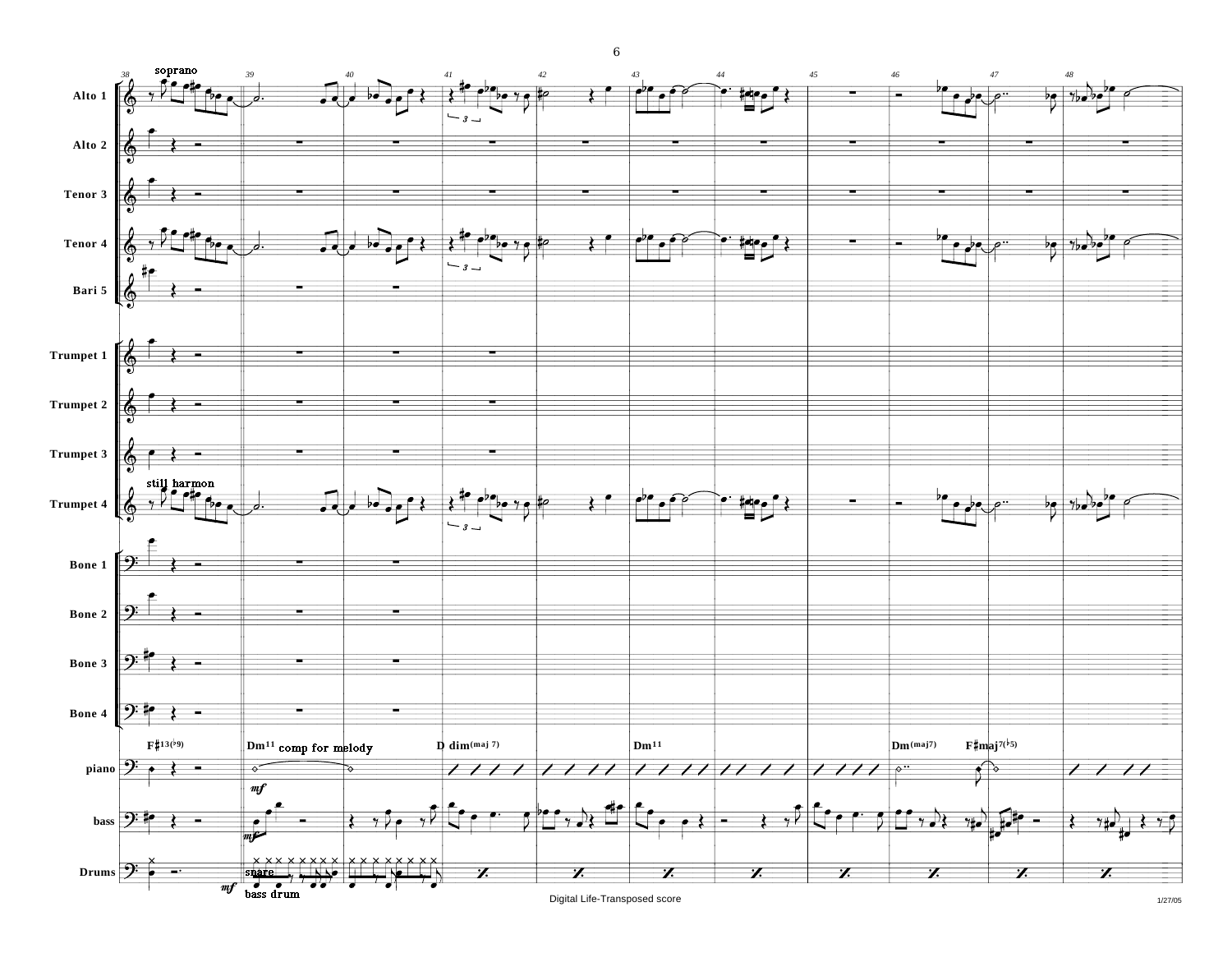

6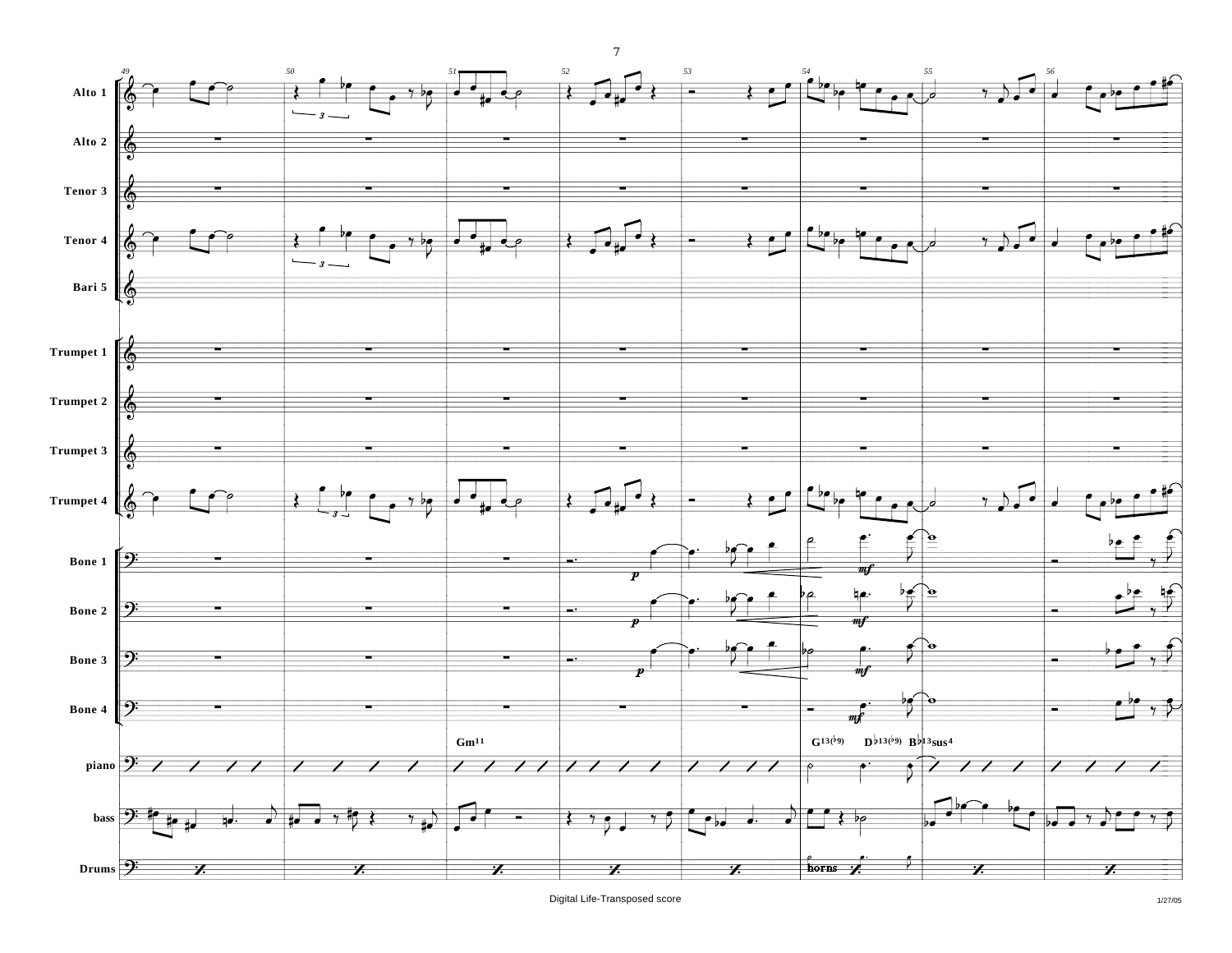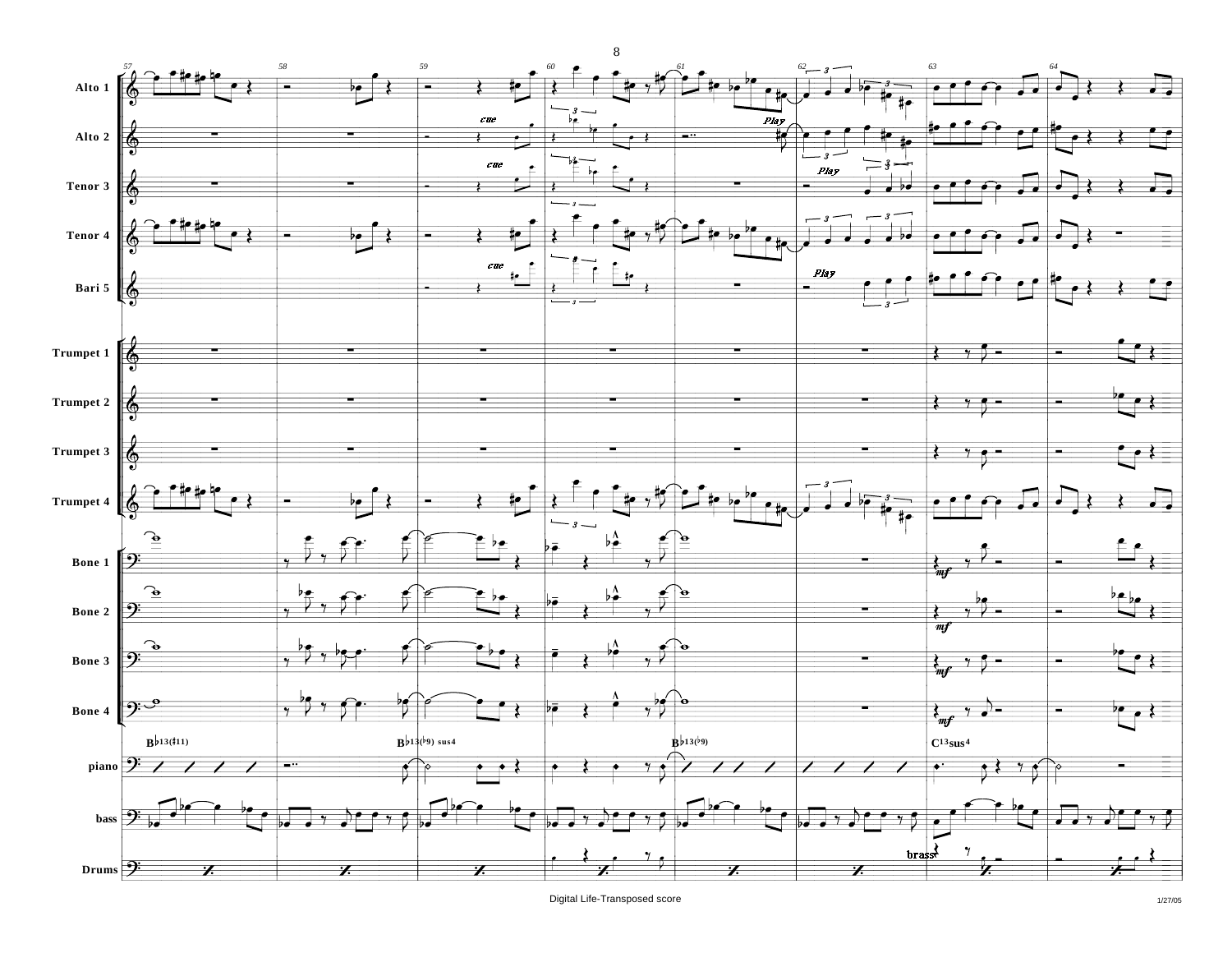